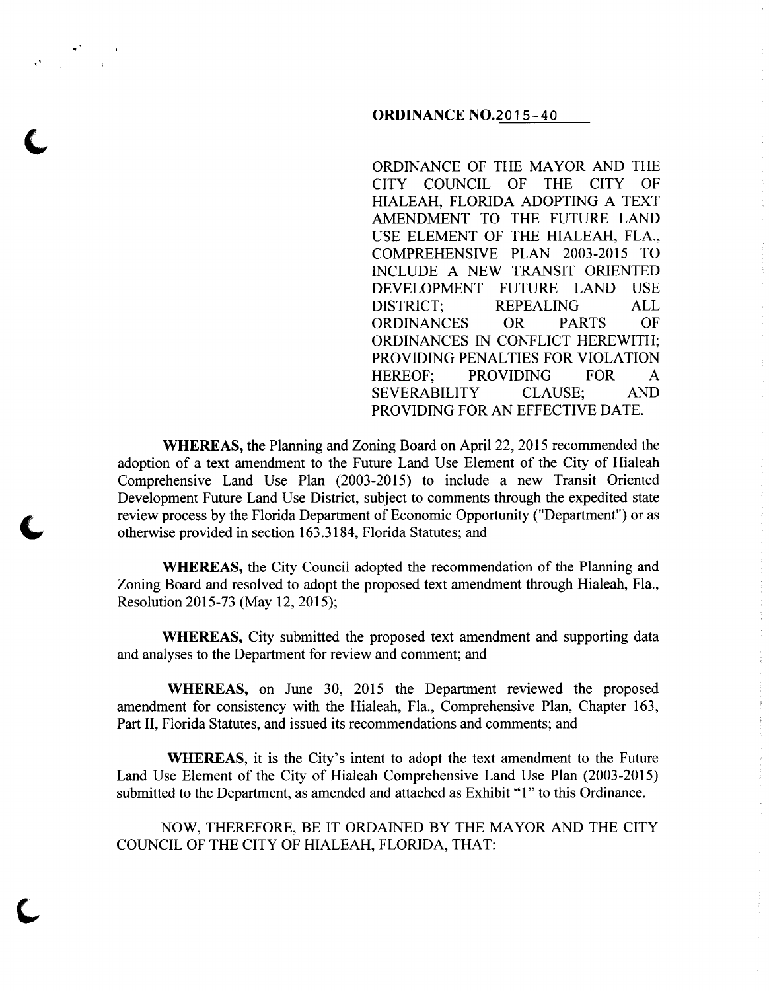#### **ORDINANCE** N0.2015-40

ORDINANCE OF THE MAYOR AND THE CITY COUNCIL OF THE CITY OF HIALEAH, FLORIDA ADOPTING A TEXT AMENDMENT TO THE FUTURE LAND USE ELEMENT OF THE HIALEAH, FLA., COMPREHENSIVE PLAN 2003-2015 TO INCLUDE A NEW TRANSIT ORIENTED DEVELOPMENT FUTURE LAND USE DISTRICT; REPEALING ALL ORDINANCES OR PARTS OF ORDINANCES IN CONFLICT HEREWITH; PROVIDING PENALTIES FOR VIOLATION HEREOF; PROVIDING FOR A SEVERABILITY CLAUSE; AND PROVIDING FOR AN EFFECTIVE DATE.

**WHEREAS,** the Planning and Zoning Board on April 22, 2015 recommended the adoption of a text amendment to the Future Land Use Element of the City of Hialeah Comprehensive Land Use Plan (2003-2015) to include a new Transit Oriented Development Future Land Use District, subject to comments through the expedited state review process by the Florida Department of Economic Opportunity ("Department") or as otherwise provided in section 163.3184, Florida Statutes; and

**WHEREAS,** the City Council adopted the recommendation of the Planning and Zoning Board and resolved to adopt the proposed text amendment through Hialeah, Fla., Resolution 2015-73 (May 12, 2015);

**WHEREAS,** City submitted the proposed text amendment and supporting data and analyses to the Department for review and comment; and

**WHEREAS,** on June 30, 2015 the Department reviewed the proposed amendment for consistency with the Hialeah, Fla., Comprehensive Plan, Chapter 163, Part II, Florida Statutes, and issued its recommendations and comments; and

**WHEREAS,** it is the City's intent to adopt the text amendment to the Future Land Use Element of the City of Hialeah Comprehensive Land Use Plan (2003-2015) submitted to the Department, as amended and attached as Exhibit "1" to this Ordinance.

NOW, THEREFORE, BE IT ORDAINED BY THE MAYOR AND THE CITY COUNCIL OF THE CITY OF HIALEAH, FLORIDA, THAT: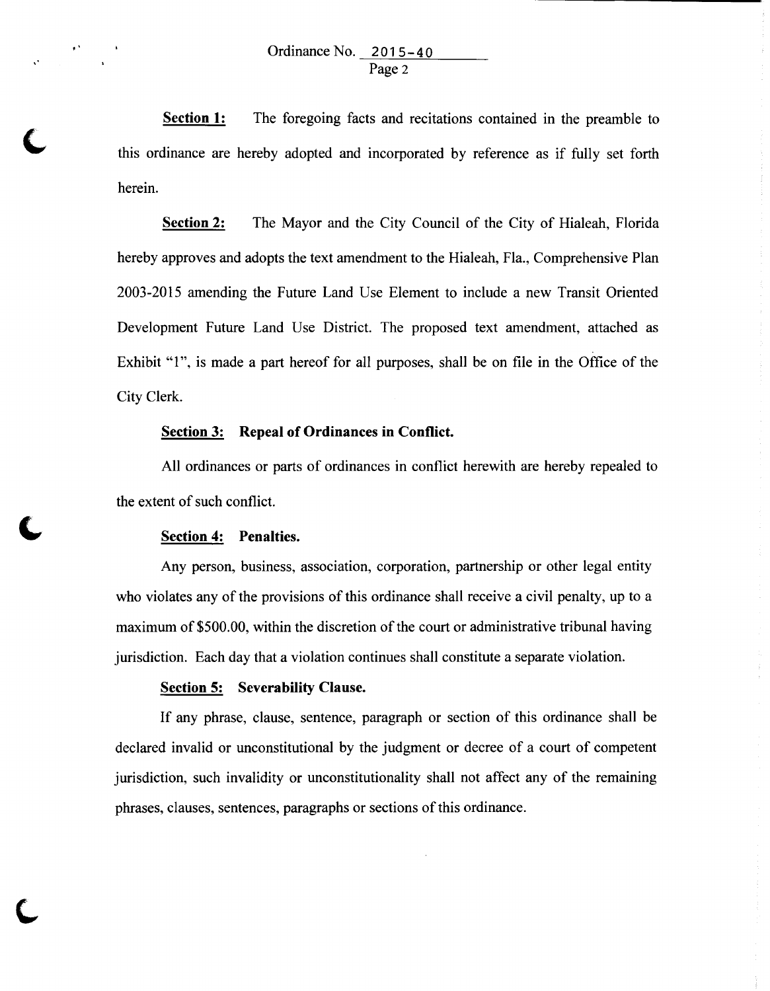**Section 1:**  The foregoing facts and recitations contained in the preamble to this ordinance are hereby adopted and incorporated by reference as if fully set forth herein.

**Section 2:** The Mayor and the City Council of the City of Hialeah, Florida hereby approves and adopts the text amendment to the Hialeah, Fla., Comprehensive Plan 2003-2015 amending the Future Land Use Element to include a new Transit Oriented Development Future Land Use District. The proposed text amendment, attached as Exhibit "1", is made a part hereof for all purposes, shall be on file in the Office of the City Clerk.

## **Section 3: Repeal of Ordinances in Conflict.**

All ordinances or parts of ordinances in conflict herewith are hereby repealed to the extent of such conflict.

#### **Section 4: Penalties.**

•'

,•

Any person, business, association, corporation, partnership or other legal entity who violates any of the provisions of this ordinance shall receive a civil penalty, up to a maximum of \$500.00, within the discretion of the court or administrative tribunal having jurisdiction. Each day that a violation continues shall constitute a separate violation.

#### **Section 5: Severability Clause.**

If any phrase, clause, sentence, paragraph or section of this ordinance shall be declared invalid or unconstitutional by the judgment or decree of a court of competent jurisdiction, such invalidity or unconstitutionality shall not affect any of the remaining phrases, clauses, sentences, paragraphs or sections of this ordinance.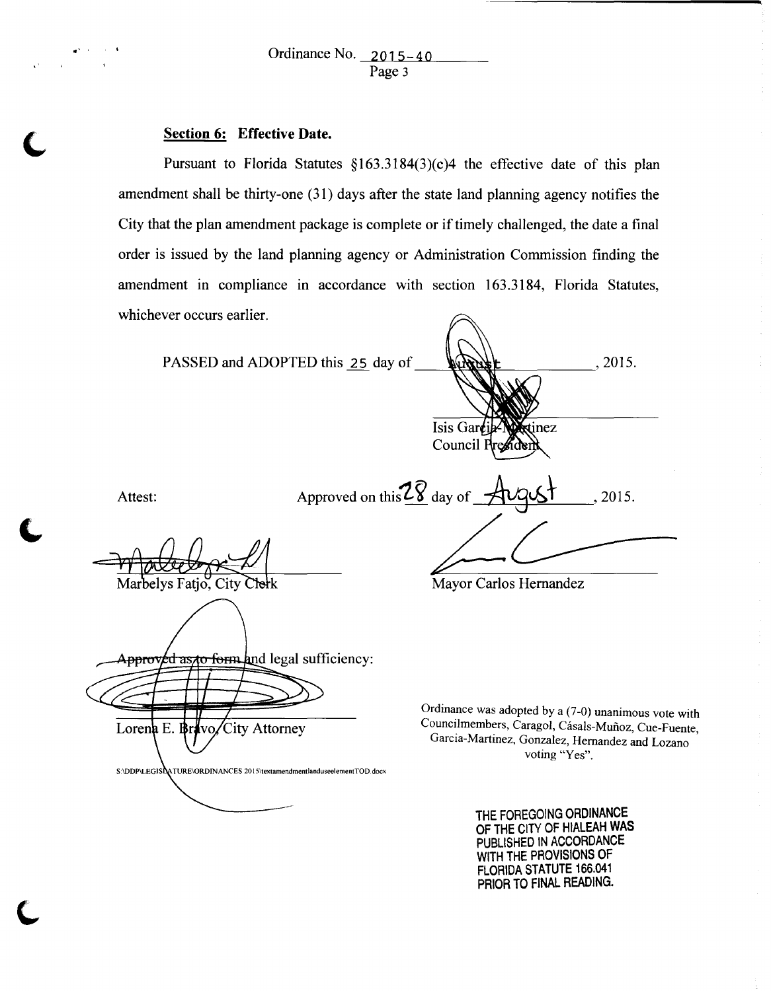# Section 6: Effective Date.

Pursuant to Florida Statutes  $$163.3184(3)(c)4$  the effective date of this plan amendment shall be thirty-one (31) days after the state land planning agency notifies the City that the plan amendment package is complete or if timely challenged, the date a final order is issued by the land planning agency or Administration Commission finding the amendment in compliance in accordance with section 163.3184, Florida Statutes, whichever occurs earlier.

|                               | PASSED and ADOPTED this 25 day of                                      |                                                                                                                                                                                | .2015. |
|-------------------------------|------------------------------------------------------------------------|--------------------------------------------------------------------------------------------------------------------------------------------------------------------------------|--------|
|                               |                                                                        | Isis Garcie-Nextinez<br>Council President                                                                                                                                      |        |
| Attest:                       |                                                                        | Approved on this $28$ day of $\overrightarrow{avgst}$                                                                                                                          | 2015.  |
| Marbelys Fatjo, City Clerk    |                                                                        | Mayor Carlos Hernandez                                                                                                                                                         |        |
|                               | Approved as to form and legal sufficiency:                             |                                                                                                                                                                                |        |
| Lorena E. Brivo/City Attorney | S:\DDP\LEGISIATURE\ORDINANCES 2015\textamendmentlanduseelementTOD.docx | Ordinance was adopted by a (7-0) unanimous vote with<br>Councilmembers, Caragol, Cásals-Muñoz, Cue-Fuente,<br>Garcia-Martinez, Gonzalez, Hernandez and Lozano<br>voting "Yes". |        |
|                               |                                                                        | THE FOREGOING ORDINANCE<br>OF THE CITY OF HIALEAH WAS<br>PUBLISHED IN ACCORDANCE<br>WITH THE PROVISIONS OF                                                                     |        |

FLORIDA STATUTE 166.041 PRIOR TO FINAL READING.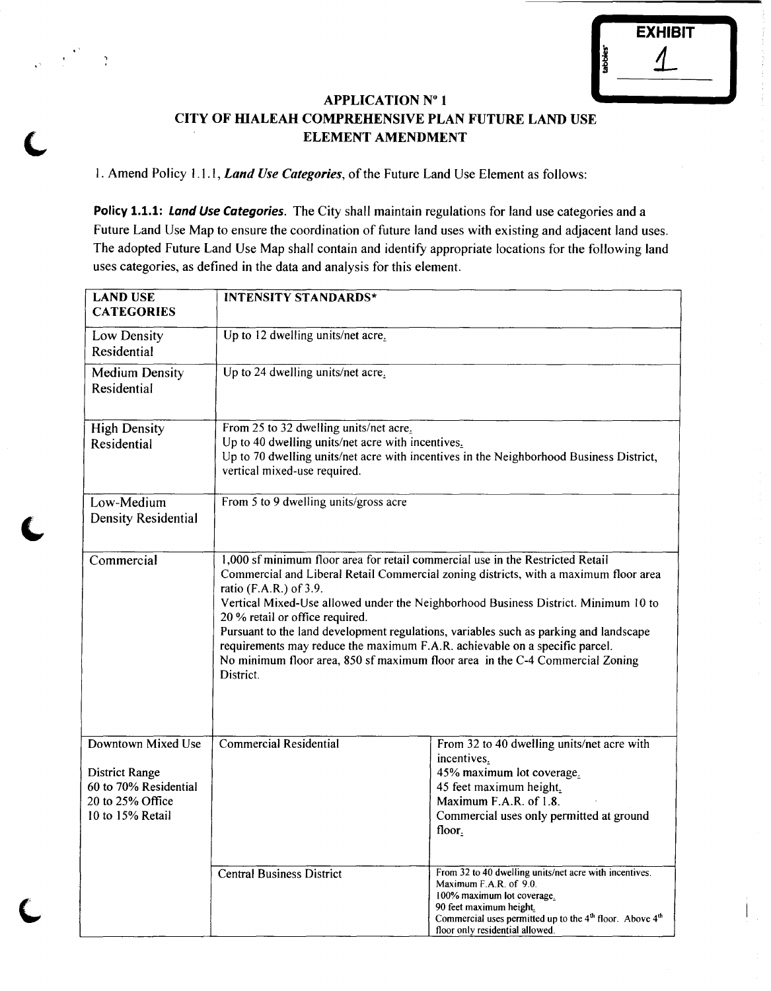|                      | <b>EXHIBIT</b> |  |
|----------------------|----------------|--|
| tabbles <sup>-</sup> |                |  |
|                      |                |  |

# APPLICATION Nº 1 CITY OF HIALEAH COMPREHENSIVE PLAN FUTURE LAND USE ELEMENT AMENDMENT

1. Amend Policy 1.1.1, *Land Use Categories*, of the Future Land Use Element as follows:

•'

 $\mathbf{r}$ 

Policy 1.1.1: Land Use Categories. The City shall maintain regulations for land use categories and a Future Land Use Map to ensure the coordination of future land uses with existing and adjacent land uses. The adopted Future Land Use Map shall contain and identify appropriate locations for the following land uses categories, as defined in the data and analysis for this element.

| <b>LAND USE</b><br><b>CATEGORIES</b>                                                                         | <b>INTENSITY STANDARDS*</b>                                                                                                                                                                                                                                                                                                                                                                                                                                                                                                                                                                     |                                                                                                                                                                                                                                                                  |  |
|--------------------------------------------------------------------------------------------------------------|-------------------------------------------------------------------------------------------------------------------------------------------------------------------------------------------------------------------------------------------------------------------------------------------------------------------------------------------------------------------------------------------------------------------------------------------------------------------------------------------------------------------------------------------------------------------------------------------------|------------------------------------------------------------------------------------------------------------------------------------------------------------------------------------------------------------------------------------------------------------------|--|
| Low Density<br>Residential                                                                                   | Up to 12 dwelling units/net acre.                                                                                                                                                                                                                                                                                                                                                                                                                                                                                                                                                               |                                                                                                                                                                                                                                                                  |  |
| <b>Medium Density</b><br>Residential                                                                         | Up to 24 dwelling units/net acre.                                                                                                                                                                                                                                                                                                                                                                                                                                                                                                                                                               |                                                                                                                                                                                                                                                                  |  |
| <b>High Density</b><br>Residential                                                                           | From 25 to 32 dwelling units/net acre.<br>Up to 40 dwelling units/net acre with incentives.<br>Up to 70 dwelling units/net acre with incentives in the Neighborhood Business District,<br>vertical mixed-use required.                                                                                                                                                                                                                                                                                                                                                                          |                                                                                                                                                                                                                                                                  |  |
| Low-Medium<br><b>Density Residential</b>                                                                     | From 5 to 9 dwelling units/gross acre                                                                                                                                                                                                                                                                                                                                                                                                                                                                                                                                                           |                                                                                                                                                                                                                                                                  |  |
| Commercial                                                                                                   | 1,000 sf minimum floor area for retail commercial use in the Restricted Retail<br>Commercial and Liberal Retail Commercial zoning districts, with a maximum floor area<br>ratio (F.A.R.) of 3.9.<br>Vertical Mixed-Use allowed under the Neighborhood Business District. Minimum 10 to<br>20 % retail or office required.<br>Pursuant to the land development regulations, variables such as parking and landscape<br>requirements may reduce the maximum F.A.R. achievable on a specific parcel.<br>No minimum floor area, 850 sf maximum floor area in the C-4 Commercial Zoning<br>District. |                                                                                                                                                                                                                                                                  |  |
| Downtown Mixed Use<br><b>District Range</b><br>60 to 70% Residential<br>20 to 25% Office<br>10 to 15% Retail | <b>Commercial Residential</b>                                                                                                                                                                                                                                                                                                                                                                                                                                                                                                                                                                   | From 32 to 40 dwelling units/net acre with<br>incentives.<br>45% maximum lot coverage.<br>45 feet maximum height.<br>Maximum F.A.R. of 1.8.<br>Commercial uses only permitted at ground<br>floor.                                                                |  |
|                                                                                                              | <b>Central Business District</b>                                                                                                                                                                                                                                                                                                                                                                                                                                                                                                                                                                | From 32 to 40 dwelling units/net acre with incentives.<br>Maximum F.A.R. of 9.0.<br>100% maximum lot coverage.<br>90 feet maximum height.<br>Commercial uses permitted up to the 4 <sup>th</sup> floor. Above 4 <sup>th</sup><br>floor only residential allowed. |  |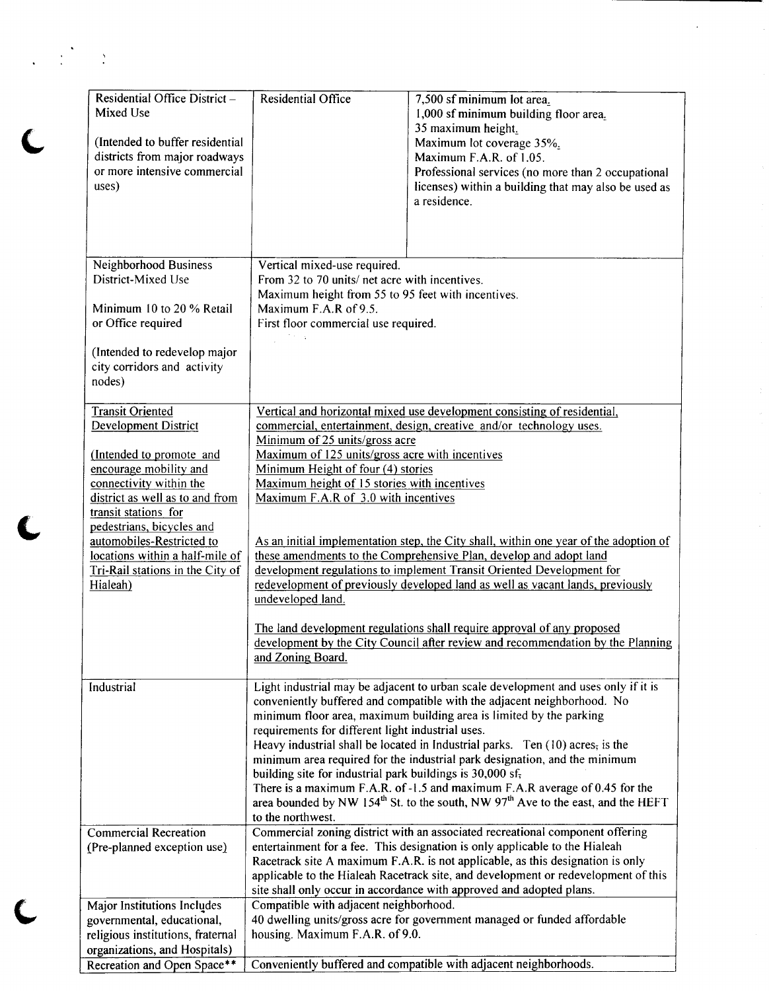| Residential Office District -                     | <b>Residential Office</b>                                                                            | 7,500 sf minimum lot area.                                                                                                                                                              |  |  |
|---------------------------------------------------|------------------------------------------------------------------------------------------------------|-----------------------------------------------------------------------------------------------------------------------------------------------------------------------------------------|--|--|
| Mixed Use                                         |                                                                                                      | 1,000 sf minimum building floor area.                                                                                                                                                   |  |  |
|                                                   |                                                                                                      | 35 maximum height.                                                                                                                                                                      |  |  |
| (Intended to buffer residential                   |                                                                                                      | Maximum lot coverage 35%.                                                                                                                                                               |  |  |
| districts from major roadways                     |                                                                                                      | Maximum F.A.R. of 1.05.                                                                                                                                                                 |  |  |
| or more intensive commercial                      |                                                                                                      | Professional services (no more than 2 occupational                                                                                                                                      |  |  |
| uses)                                             |                                                                                                      | licenses) within a building that may also be used as                                                                                                                                    |  |  |
|                                                   |                                                                                                      | a residence.                                                                                                                                                                            |  |  |
|                                                   |                                                                                                      |                                                                                                                                                                                         |  |  |
|                                                   |                                                                                                      |                                                                                                                                                                                         |  |  |
|                                                   |                                                                                                      |                                                                                                                                                                                         |  |  |
| Neighborhood Business                             | Vertical mixed-use required.                                                                         |                                                                                                                                                                                         |  |  |
| District-Mixed Use                                | From 32 to 70 units/ net acre with incentives.                                                       |                                                                                                                                                                                         |  |  |
| Minimum 10 to 20 % Retail                         | Maximum height from 55 to 95 feet with incentives.<br>Maximum F.A.R of 9.5.                          |                                                                                                                                                                                         |  |  |
| or Office required                                | First floor commercial use required.                                                                 |                                                                                                                                                                                         |  |  |
|                                                   |                                                                                                      |                                                                                                                                                                                         |  |  |
| (Intended to redevelop major                      |                                                                                                      |                                                                                                                                                                                         |  |  |
| city corridors and activity                       |                                                                                                      |                                                                                                                                                                                         |  |  |
| nodes)                                            |                                                                                                      |                                                                                                                                                                                         |  |  |
|                                                   |                                                                                                      |                                                                                                                                                                                         |  |  |
| <b>Transit Oriented</b>                           |                                                                                                      | Vertical and horizontal mixed use development consisting of residential,                                                                                                                |  |  |
| <b>Development District</b>                       |                                                                                                      | commercial, entertainment, design, creative and/or technology uses.                                                                                                                     |  |  |
|                                                   | Minimum of 25 units/gross acre                                                                       |                                                                                                                                                                                         |  |  |
| (Intended to promote and                          | Maximum of 125 units/gross acre with incentives                                                      |                                                                                                                                                                                         |  |  |
| encourage mobility and<br>connectivity within the | Minimum Height of four (4) stories<br>Maximum height of 15 stories with incentives                   |                                                                                                                                                                                         |  |  |
| district as well as to and from                   | Maximum F.A.R of 3.0 with incentives                                                                 |                                                                                                                                                                                         |  |  |
| transit stations for                              |                                                                                                      |                                                                                                                                                                                         |  |  |
| pedestrians, bicycles and                         |                                                                                                      |                                                                                                                                                                                         |  |  |
| automobiles-Restricted to                         | As an initial implementation step, the City shall, within one year of the adoption of                |                                                                                                                                                                                         |  |  |
| locations within a half-mile of                   | these amendments to the Comprehensive Plan, develop and adopt land                                   |                                                                                                                                                                                         |  |  |
| Tri-Rail stations in the City of                  | development regulations to implement Transit Oriented Development for                                |                                                                                                                                                                                         |  |  |
| Hialeah)                                          | redevelopment of previously developed land as well as vacant lands, previously                       |                                                                                                                                                                                         |  |  |
|                                                   | undeveloped land.                                                                                    |                                                                                                                                                                                         |  |  |
|                                                   | The land development regulations shall require approval of any proposed                              |                                                                                                                                                                                         |  |  |
|                                                   |                                                                                                      |                                                                                                                                                                                         |  |  |
|                                                   | development by the City Council after review and recommendation by the Planning<br>and Zoning Board. |                                                                                                                                                                                         |  |  |
|                                                   |                                                                                                      |                                                                                                                                                                                         |  |  |
| Industrial                                        |                                                                                                      | Light industrial may be adjacent to urban scale development and uses only if it is                                                                                                      |  |  |
|                                                   |                                                                                                      | conveniently buffered and compatible with the adjacent neighborhood. No                                                                                                                 |  |  |
|                                                   |                                                                                                      | minimum floor area, maximum building area is limited by the parking                                                                                                                     |  |  |
|                                                   | requirements for different light industrial uses.                                                    |                                                                                                                                                                                         |  |  |
|                                                   |                                                                                                      | Heavy industrial shall be located in Industrial parks. Ten (10) acres, is the                                                                                                           |  |  |
|                                                   |                                                                                                      | minimum area required for the industrial park designation, and the minimum                                                                                                              |  |  |
|                                                   | building site for industrial park buildings is 30,000 sf,                                            |                                                                                                                                                                                         |  |  |
|                                                   |                                                                                                      | There is a maximum F.A.R. of -1.5 and maximum F.A.R average of 0.45 for the<br>area bounded by NW 154 <sup>th</sup> St. to the south, NW 97 <sup>th</sup> Ave to the east, and the HEFT |  |  |
|                                                   | to the northwest.                                                                                    |                                                                                                                                                                                         |  |  |
| <b>Commercial Recreation</b>                      |                                                                                                      | Commercial zoning district with an associated recreational component offering                                                                                                           |  |  |
| (Pre-planned exception use)                       |                                                                                                      | entertainment for a fee. This designation is only applicable to the Hialeah                                                                                                             |  |  |
|                                                   |                                                                                                      | Racetrack site A maximum F.A.R. is not applicable, as this designation is only                                                                                                          |  |  |
|                                                   |                                                                                                      | applicable to the Hialeah Racetrack site, and development or redevelopment of this                                                                                                      |  |  |
|                                                   |                                                                                                      | site shall only occur in accordance with approved and adopted plans.                                                                                                                    |  |  |
| Major Institutions Includes                       | Compatible with adjacent neighborhood.                                                               |                                                                                                                                                                                         |  |  |
| governmental, educational,                        | 40 dwelling units/gross acre for government managed or funded affordable                             |                                                                                                                                                                                         |  |  |
| religious institutions, fraternal                 | housing. Maximum F.A.R. of 9.0.                                                                      |                                                                                                                                                                                         |  |  |
| organizations, and Hospitals)                     |                                                                                                      |                                                                                                                                                                                         |  |  |
| Recreation and Open Space**                       |                                                                                                      | Conveniently buffered and compatible with adjacent neighborhoods.                                                                                                                       |  |  |

 $\frac{1}{2} \left( \frac{1}{2} \right)^2 = \frac{1}{2} \left( \frac{1}{2} \right)^2$ 

 $\overline{\mathbf{C}}$ 

 $\bigcup$ 

 $\mathbf C$ 

 $\hat{\mathcal{L}}$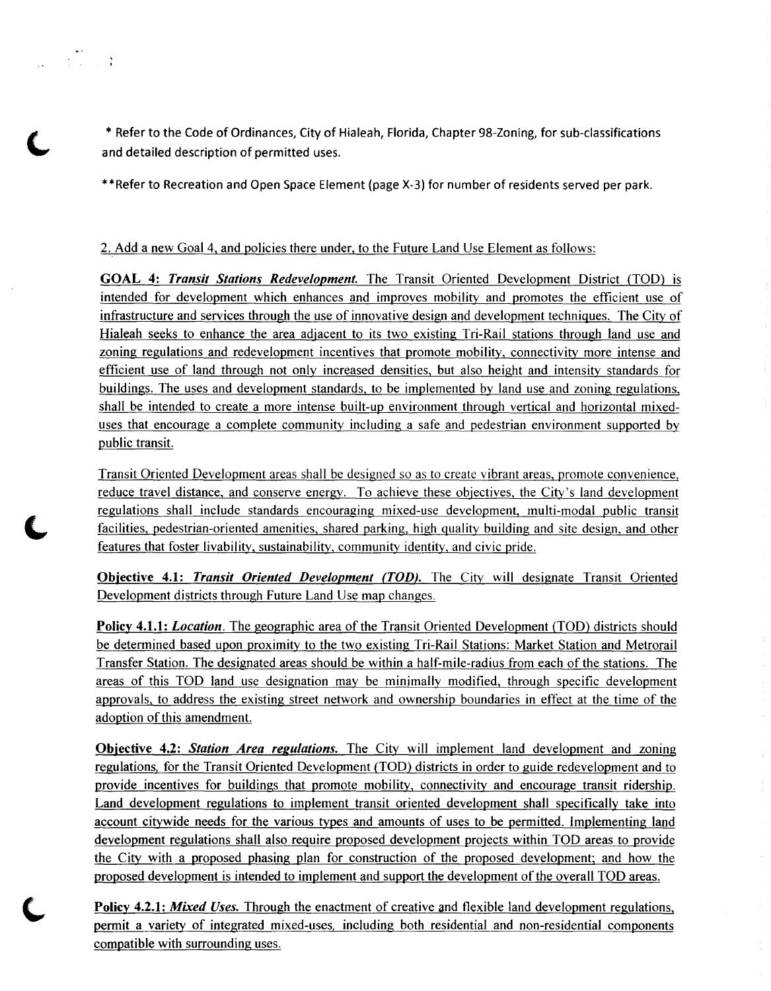\* Refer to the Code of Ordinances, City of Hialeah, Florida, Chapter 98-Zoning, for sub-classifications and detailed description of permitted uses.

\*\*Refer to Recreation and Open Space Element (page X-3) for number of residents served per park.

### 2. Add a new Goal 4, and policies there under, to the Future Land Use Element as follows:

 $\frac{1}{2}$ 

GOAL 4: *Transit Stations Redevelopment.* The Transit Oriented Development District (TOO) is intended for development which enhances and improves mobility and promotes the efficient use of infrastructure and services through the use of innovative design and development techniques. The City of Hialeah seeks to enhance the area adjacent to its two existing Tri-Rail stations through land use and zoning regulations and redevelopment incentives that promote mobility, connectivity more intense and efficient use of land through not only increased densities, but also height and intensity standards for buildings. The uses and development standards, to be implemented by land use and zoning regulations, shall be intended to create a more intense built-up environment through vertical and horizontal mixeduses that encourage a complete community including a safe and pedestrian environment supported by public transit.

Transit Oriented Development areas shall be designed so as to create vibrant areas, promote convenience, reduce travel distance, and conserve energy. To achieve these objectives, the City's land development regulations shall include standards encouraging mixed-use development, multi-modal public transit facilities, pedestrian-oriented amenities, shared parking, high quality building and site design, and other features that foster livability, sustainability, community identity, and civic pride.

Objective 4.1: *Transit Oriented Development (TOD).* The City will designate Transit Oriented Development districts through Future Land Use map changes.

Policy 4.1.1: *Location*. The geographic area of the Transit Oriented Development (TOD) districts should be determined based upon proximity to the two existing Tri-Rail Stations: Market Station and Metrorail Transfer Station. The designated areas should be within a half-mile-radius from each of the stations. The areas of this TOO land use designation may be minimally modified, through specific development approvals, to address the existing street network and ownership boundaries in effect at the time of the adoption of this amendment.

Objective 4.2: *Station Area regulations.* The City will implement land development and zomng regulations, for the Transit Oriented Development (TOO) districts in order to guide redevelopment and to provide incentives for buildings that promote mobility, connectivity and encourage transit ridership. Land development regulations to implement transit oriented development shall specifically take into account citywide needs for the various types and amounts of uses to be permitted. Implementing land development regulations shall also require proposed development projects within TOO areas to provide the City with a proposed phasing plan for construction of the proposed development; and how the proposed development is intended to implement and support the development of the overall TOO areas.

Policy 4.2.1: *Mixed Uses.* Through the enactment of creative and flexible land development regulations, permit a variety of integrated mixed-uses, including both residential and non-residential components compatible with surrounding uses.